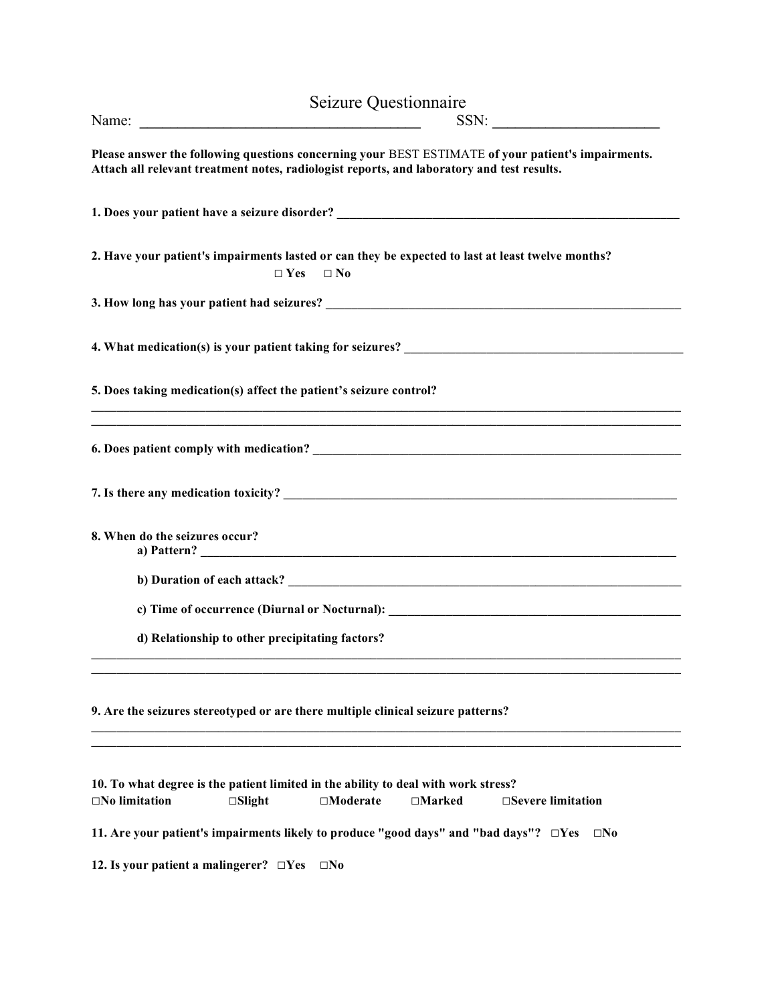|                                                                                                               |                                                                                                                                                                                                                                                                                                                                                                                                                                                    | Seizure Questionnaire |               |                                                                                                                       |
|---------------------------------------------------------------------------------------------------------------|----------------------------------------------------------------------------------------------------------------------------------------------------------------------------------------------------------------------------------------------------------------------------------------------------------------------------------------------------------------------------------------------------------------------------------------------------|-----------------------|---------------|-----------------------------------------------------------------------------------------------------------------------|
|                                                                                                               | Name: $\frac{1}{\sqrt{1-\frac{1}{2}}\sqrt{1-\frac{1}{2}}\sqrt{1-\frac{1}{2}}\sqrt{1-\frac{1}{2}}\sqrt{1-\frac{1}{2}}\sqrt{1-\frac{1}{2}}\sqrt{1-\frac{1}{2}}\sqrt{1-\frac{1}{2}}\sqrt{1-\frac{1}{2}}\sqrt{1-\frac{1}{2}}\sqrt{1-\frac{1}{2}}\sqrt{1-\frac{1}{2}}\sqrt{1-\frac{1}{2}}\sqrt{1-\frac{1}{2}}\sqrt{1-\frac{1}{2}}\sqrt{1-\frac{1}{2}}\sqrt{1-\frac{1}{2}}\sqrt{1-\frac{1}{2}}\sqrt{1-\frac{1}{2}}$<br>$SSN: \underline{\hspace{2.5cm}}$ |                       |               |                                                                                                                       |
| Attach all relevant treatment notes, radiologist reports, and laboratory and test results.                    |                                                                                                                                                                                                                                                                                                                                                                                                                                                    |                       |               | Please answer the following questions concerning your BEST ESTIMATE of your patient's impairments.                    |
|                                                                                                               |                                                                                                                                                                                                                                                                                                                                                                                                                                                    |                       |               | 1. Does your patient have a seizure disorder? __________________________________                                      |
|                                                                                                               |                                                                                                                                                                                                                                                                                                                                                                                                                                                    | $\Box$ Yes $\Box$ No  |               | 2. Have your patient's impairments lasted or can they be expected to last at least twelve months?                     |
|                                                                                                               |                                                                                                                                                                                                                                                                                                                                                                                                                                                    |                       |               |                                                                                                                       |
|                                                                                                               |                                                                                                                                                                                                                                                                                                                                                                                                                                                    |                       |               |                                                                                                                       |
| 5. Does taking medication(s) affect the patient's seizure control?                                            |                                                                                                                                                                                                                                                                                                                                                                                                                                                    |                       |               |                                                                                                                       |
|                                                                                                               |                                                                                                                                                                                                                                                                                                                                                                                                                                                    |                       |               | <u> 1989 - Johann Barn, mars ann an t-Amhainn an t-Amhainn an t-Amhainn an t-Amhainn an t-Amhainn an t-Amhainn an</u> |
|                                                                                                               |                                                                                                                                                                                                                                                                                                                                                                                                                                                    |                       |               |                                                                                                                       |
| 8. When do the seizures occur?                                                                                |                                                                                                                                                                                                                                                                                                                                                                                                                                                    |                       |               |                                                                                                                       |
|                                                                                                               |                                                                                                                                                                                                                                                                                                                                                                                                                                                    |                       |               |                                                                                                                       |
|                                                                                                               |                                                                                                                                                                                                                                                                                                                                                                                                                                                    |                       |               |                                                                                                                       |
|                                                                                                               | d) Relationship to other precipitating factors?                                                                                                                                                                                                                                                                                                                                                                                                    |                       |               |                                                                                                                       |
| 9. Are the seizures stereotyped or are there multiple clinical seizure patterns?                              |                                                                                                                                                                                                                                                                                                                                                                                                                                                    |                       |               |                                                                                                                       |
| 10. To what degree is the patient limited in the ability to deal with work stress?<br>$\square$ No limitation | $\square$ Slight                                                                                                                                                                                                                                                                                                                                                                                                                                   | $\square$ Moderate    | $\Box$ Marked | □Severe limitation                                                                                                    |
|                                                                                                               |                                                                                                                                                                                                                                                                                                                                                                                                                                                    |                       |               |                                                                                                                       |
| 11. Are your patient's impairments likely to produce "good days" and "bad days"? $\square$ Yes                |                                                                                                                                                                                                                                                                                                                                                                                                                                                    |                       |               | $\square$ No                                                                                                          |
| 12. Is your patient a malingerer? $\Box$ Yes                                                                  |                                                                                                                                                                                                                                                                                                                                                                                                                                                    | $\square$ No          |               |                                                                                                                       |